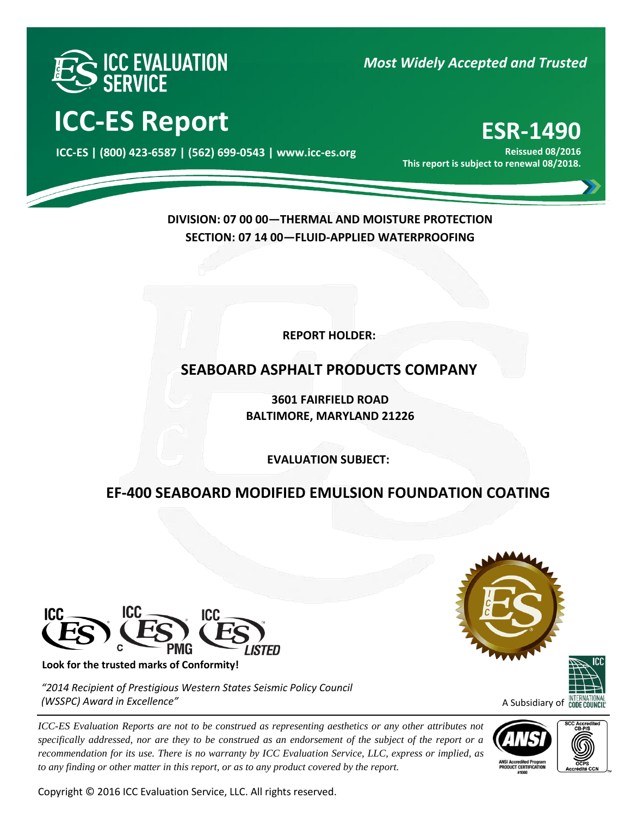

*Most Widely Accepted and Trusted* 

# **ICC-ES Report ESR-1490**

000 **ICC-ES | (800) 423-6587 | (562) 699-0543 | www.icc-es.org**

**Reissued 08/2016 This report is subject to renewal 08/2018.**

**DIVISION: 07 00 00—THERMAL AND MOISTURE PROTECTION SECTION: 07 14 00—FLUID-APPLIED WATERPROOFING**

**REPORT HOLDER:** 

## **SEABOARD ASPHALT PRODUCTS COMPANY**

**3601 FAIRFIELD ROAD BALTIMORE, MARYLAND 21226**

**EVALUATION SUBJECT:**

## **EF-400 SEABOARD MODIFIED EMULSION FOUNDATION COATING**



**Look for the trusted marks of Conformity!** 

*"2014 Recipient of Prestigious Western States Seismic Policy Council (WSSPC) Award in Excellence"*

*ICC-ES Evaluation Reports are not to be construed as representing aesthetics or any other attributes not specifically addressed, nor are they to be construed as an endorsement of the subject of the report or a recommendation for its use. There is no warranty by ICC Evaluation Service, LLC, express or implied, as to any finding or other matter in this report, or as to any product covered by the report.*

Copyright © 2016 ICC Evaluation Service, LLC. All rights reserved.





A Subsidiary of **INTERNATIONA** 



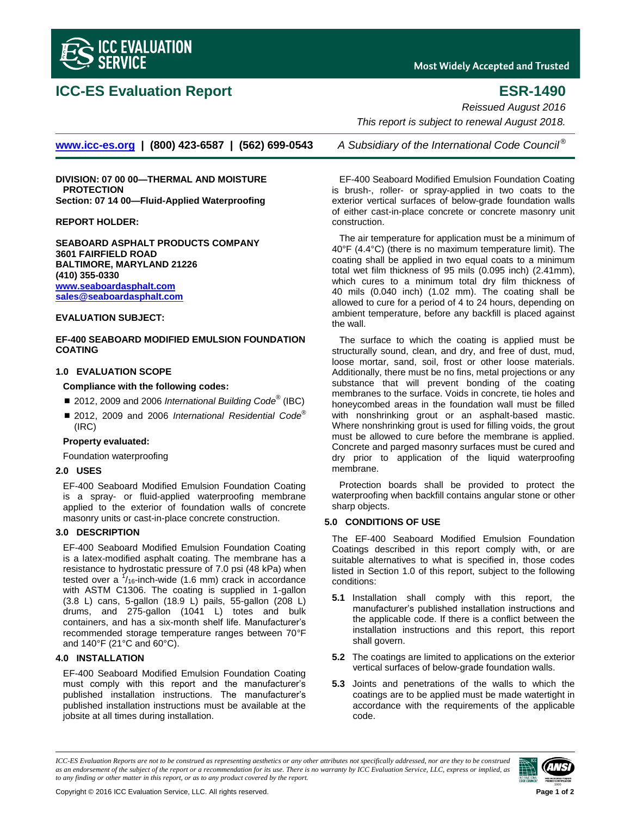

### **ICC-ES Evaluation Report ESR-1490**

**Most Widely Accepted and Trusted** 

*Reissued August 2016*

*This report is subject to renewal August 2018.*

**[www.icc-es.org](http://www.icc-es.org/) | (800) 423-6587 | (562) 699-0543** *A Subsidiary of the International Code Council ®*

**DIVISION: 07 00 00—THERMAL AND MOISTURE PROTECTION Section: 07 14 00—Fluid-Applied Waterproofing**

**REPORT HOLDER:**

**SEABOARD ASPHALT PRODUCTS COMPANY 3601 FAIRFIELD ROAD BALTIMORE, MARYLAND 21226 (410) 355-0330 [www.seaboardasphalt.com](http://www.seaboardasphalt.com/) [sales@seaboardasphalt.com](mailto:sales@seaboardasphalt.com)**

### **EVALUATION SUBJECT:**

**EF-400 SEABOARD MODIFIED EMULSION FOUNDATION COATING**

#### **1.0 EVALUATION SCOPE**

#### **Compliance with the following codes:**

- 2012, 2009 and 2006 *International Building Code*<sup>®</sup> (IBC)
- 2012, 2009 and 2006 *International Residential Code*<sup>®</sup> (IRC)

#### **Property evaluated:**

Foundation waterproofing

#### **2.0 USES**

EF-400 Seaboard Modified Emulsion Foundation Coating is a spray- or fluid-applied waterproofing membrane applied to the exterior of foundation walls of concrete masonry units or cast-in-place concrete construction.

### **3.0 DESCRIPTION**

EF-400 Seaboard Modified Emulsion Foundation Coating is a latex-modified asphalt coating. The membrane has a resistance to hydrostatic pressure of 7.0 psi (48 kPa) when tested over a  $\frac{1}{16}$ -inch-wide (1.6 mm) crack in accordance with ASTM C1306. The coating is supplied in 1-gallon (3.8 L) cans, 5-gallon (18.9 L) pails, 55-gallon (208 L) drums, and 275-gallon (1041 L) totes and bulk containers, and has a six-month shelf life. Manufacturer's recommended storage temperature ranges between 70°F and 140°F (21°C and 60°C).

#### **4.0 INSTALLATION**

EF-400 Seaboard Modified Emulsion Foundation Coating must comply with this report and the manufacturer's published installation instructions. The manufacturer's published installation instructions must be available at the jobsite at all times during installation.

EF-400 Seaboard Modified Emulsion Foundation Coating is brush-, roller- or spray-applied in two coats to the exterior vertical surfaces of below-grade foundation walls of either cast-in-place concrete or concrete masonry unit construction.

The air temperature for application must be a minimum of 40°F (4.4°C) (there is no maximum temperature limit). The coating shall be applied in two equal coats to a minimum total wet film thickness of 95 mils (0.095 inch) (2.41mm), which cures to a minimum total dry film thickness of 40 mils (0.040 inch) (1.02 mm). The coating shall be allowed to cure for a period of 4 to 24 hours, depending on ambient temperature, before any backfill is placed against the wall.

The surface to which the coating is applied must be structurally sound, clean, and dry, and free of dust, mud, loose mortar, sand, soil, frost or other loose materials. Additionally, there must be no fins, metal projections or any substance that will prevent bonding of the coating membranes to the surface. Voids in concrete, tie holes and honeycombed areas in the foundation wall must be filled with nonshrinking grout or an asphalt-based mastic. Where nonshrinking grout is used for filling voids, the grout must be allowed to cure before the membrane is applied. Concrete and parged masonry surfaces must be cured and dry prior to application of the liquid waterproofing membrane.

Protection boards shall be provided to protect the waterproofing when backfill contains angular stone or other sharp objects.

### **5.0 CONDITIONS OF USE**

The EF-400 Seaboard Modified Emulsion Foundation Coatings described in this report comply with, or are suitable alternatives to what is specified in, those codes listed in Section 1.0 of this report, subject to the following conditions:

- **5.1** Installation shall comply with this report, the manufacturer's published installation instructions and the applicable code. If there is a conflict between the installation instructions and this report, this report shall govern.
- **5.2** The coatings are limited to applications on the exterior vertical surfaces of below-grade foundation walls.
- **5.3** Joints and penetrations of the walls to which the coatings are to be applied must be made watertight in accordance with the requirements of the applicable code.

*ICC-ES Evaluation Reports are not to be construed as representing aesthetics or any other attributes not specifically addressed, nor are they to be construed as an endorsement of the subject of the report or a recommendation for its use. There is no warranty by ICC Evaluation Service, LLC, express or implied, as to any finding or other matter in this report, or as to any product covered by the report.*